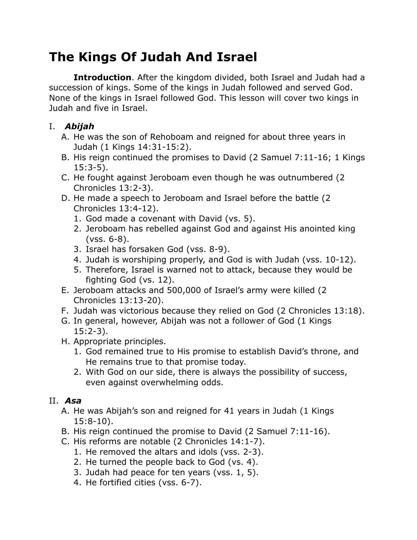# **The Kings Of Judah And Israel**

**Introduction**. After the kingdom divided, both Israel and Judah had a succession of kings. Some of the kings in Judah followed and served God. None of the kings in Israel followed God. This lesson will cover two kings in Judah and five in Israel.

## I. *Abijah*

- A. He was the son of Rehoboam and reigned for about three years in Judah (1 Kings 14:31-15:2).
- B. His reign continued the promises to David (2 Samuel 7:11-16; 1 Kings 15:3-5).
- C. He fought against Jeroboam even though he was outnumbered (2 Chronicles 13:2-3).
- D. He made a speech to Jeroboam and Israel before the battle (2 Chronicles 13:4-12).
	- 1. God made a covenant with David (vs. 5).
	- 2. Jeroboam has rebelled against God and against His anointed king (vss. 6-8).
	- 3. Israel has forsaken God (vss. 8-9).
	- 4. Judah is worshiping properly, and God is with Judah (vss. 10-12).
	- 5. Therefore, Israel is warned not to attack, because they would be fighting God (vs. 12).
- E. Jeroboam attacks and 500,000 of Israel's army were killed (2 Chronicles 13:13-20).
- F. Judah was victorious because they relied on God (2 Chronicles 13:18).
- G. In general, however, Abijah was not a follower of God (1 Kings 15:2-3).
- H. Appropriate principles.
	- 1. God remained true to His promise to establish David's throne, and He remains true to that promise today.
	- 2. With God on our side, there is always the possibility of success, even against overwhelming odds.

## II. *Asa*

- A. He was Abijah's son and reigned for 41 years in Judah (1 Kings 15:8-10).
- B. His reign continued the promise to David (2 Samuel 7:11-16).
- C. His reforms are notable (2 Chronicles 14:1-7).
	- 1. He removed the altars and idols (vss. 2-3).
	- 2. He turned the people back to God (vs. 4).
	- 3. Judah had peace for ten years (vss. 1, 5).
	- 4. He fortified cities (vss. 6-7).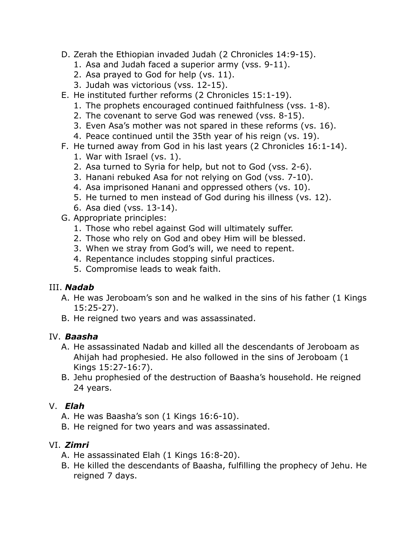- D. Zerah the Ethiopian invaded Judah (2 Chronicles 14:9-15).
	- 1. Asa and Judah faced a superior army (vss. 9-11).
	- 2. Asa prayed to God for help (vs. 11).
	- 3. Judah was victorious (vss. 12-15).
- E. He instituted further reforms (2 Chronicles 15:1-19).
	- 1. The prophets encouraged continued faithfulness (vss. 1-8).
	- 2. The covenant to serve God was renewed (vss. 8-15).
	- 3. Even Asa's mother was not spared in these reforms (vs. 16).
	- 4. Peace continued until the 35th year of his reign (vs. 19).
- F. He turned away from God in his last years (2 Chronicles 16:1-14).
	- 1. War with Israel (vs. 1).
	- 2. Asa turned to Syria for help, but not to God (vss. 2-6).
	- 3. Hanani rebuked Asa for not relying on God (vss. 7-10).
	- 4. Asa imprisoned Hanani and oppressed others (vs. 10).
	- 5. He turned to men instead of God during his illness (vs. 12).
	- 6. Asa died (vss. 13-14).
- G. Appropriate principles:
	- 1. Those who rebel against God will ultimately suffer.
	- 2. Those who rely on God and obey Him will be blessed.
	- 3. When we stray from God's will, we need to repent.
	- 4. Repentance includes stopping sinful practices.
	- 5. Compromise leads to weak faith.

#### III. *Nadab*

- A. He was Jeroboam's son and he walked in the sins of his father (1 Kings 15:25-27).
- B. He reigned two years and was assassinated.

#### IV. *Baasha*

- A. He assassinated Nadab and killed all the descendants of Jeroboam as Ahijah had prophesied. He also followed in the sins of Jeroboam (1 Kings 15:27-16:7).
- B. Jehu prophesied of the destruction of Baasha's household. He reigned 24 years.

#### V. *Elah*

- A. He was Baasha's son (1 Kings 16:6-10).
- B. He reigned for two years and was assassinated.

#### VI. *Zimri*

- A. He assassinated Elah (1 Kings 16:8-20).
- B. He killed the descendants of Baasha, fulfilling the prophecy of Jehu. He reigned 7 days.